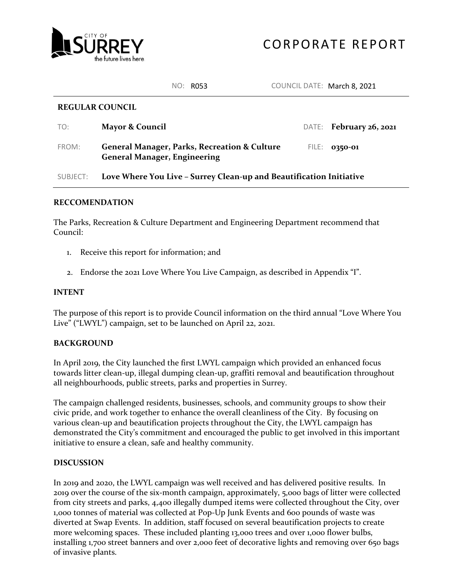

NO: R053 COUNCIL DATE: March 8, 2021

#### **REGULAR COUNCIL**

| TO:   | <b>Mayor &amp; Council</b>                                                                     | DATE: February 26, 2021 |
|-------|------------------------------------------------------------------------------------------------|-------------------------|
| FROM: | <b>General Manager, Parks, Recreation &amp; Culture</b><br><b>General Manager, Engineering</b> | FILE: 0350-01           |

# SUBJECT: **Love Where You Live – Surrey Clean-up and Beautification Initiative**

# **RECCOMENDATION**

The Parks, Recreation & Culture Department and Engineering Department recommend that Council:

- 1. Receive this report for information; and
- 2. Endorse the 2021 Love Where You Live Campaign, as described in Appendix "I".

### **INTENT**

The purpose of this report is to provide Council information on the third annual "Love Where You Live" ("LWYL") campaign, set to be launched on April 22, 2021.

# **BACKGROUND**

In April 2019, the City launched the first LWYL campaign which provided an enhanced focus towards litter clean-up, illegal dumping clean-up, graffiti removal and beautification throughout all neighbourhoods, public streets, parks and properties in Surrey.

The campaign challenged residents, businesses, schools, and community groups to show their civic pride, and work together to enhance the overall cleanliness of the City. By focusing on various clean-up and beautification projects throughout the City, the LWYL campaign has demonstrated the City's commitment and encouraged the public to get involved in this important initiative to ensure a clean, safe and healthy community.

#### **DISCUSSION**

In 2019 and 2020, the LWYL campaign was well received and has delivered positive results. In 2019 over the course of the six-month campaign, approximately, 5,000 bags of litter were collected from city streets and parks, 4,400 illegally dumped items were collected throughout the City, over 1,000 tonnes of material was collected at Pop-Up Junk Events and 600 pounds of waste was diverted at Swap Events. In addition, staff focused on several beautification projects to create more welcoming spaces. These included planting 13,000 trees and over 1,000 flower bulbs, installing 1,700 street banners and over 2,000 feet of decorative lights and removing over 650 bags of invasive plants.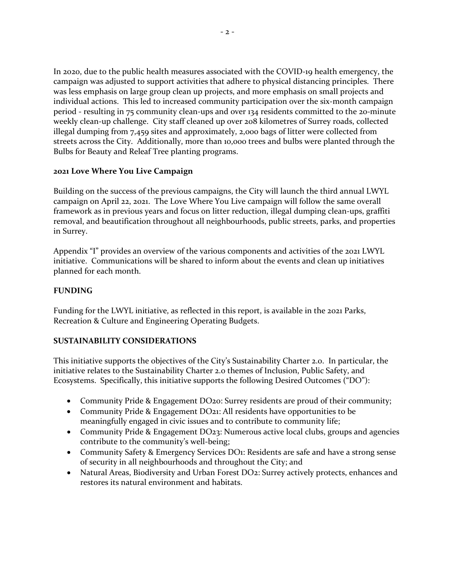In 2020, due to the public health measures associated with the COVID-19 health emergency, the campaign was adjusted to support activities that adhere to physical distancing principles. There was less emphasis on large group clean up projects, and more emphasis on small projects and individual actions. This led to increased community participation over the six-month campaign period - resulting in 75 community clean-ups and over 134 residents committed to the 20-minute weekly clean-up challenge. City staff cleaned up over 208 kilometres of Surrey roads, collected illegal dumping from 7,459 sites and approximately, 2,000 bags of litter were collected from streets across the City. Additionally, more than 10,000 trees and bulbs were planted through the Bulbs for Beauty and Releaf Tree planting programs.

# **2021 Love Where You Live Campaign**

Building on the success of the previous campaigns, the City will launch the third annual LWYL campaign on April 22, 2021. The Love Where You Live campaign will follow the same overall framework as in previous years and focus on litter reduction, illegal dumping clean-ups, graffiti removal, and beautification throughout all neighbourhoods, public streets, parks, and properties in Surrey.

Appendix "I" provides an overview of the various components and activities of the 2021 LWYL initiative. Communications will be shared to inform about the events and clean up initiatives planned for each month.

# **FUNDING**

Funding for the LWYL initiative, as reflected in this report, is available in the 2021 Parks, Recreation & Culture and Engineering Operating Budgets.

# **SUSTAINABILITY CONSIDERATIONS**

This initiative supports the objectives of the City's Sustainability Charter 2.0. In particular, the initiative relates to the Sustainability Charter 2.0 themes of Inclusion, Public Safety, and Ecosystems. Specifically, this initiative supports the following Desired Outcomes ("DO"):

- Community Pride & Engagement DO20: Surrey residents are proud of their community;
- Community Pride & Engagement DO21: All residents have opportunities to be meaningfully engaged in civic issues and to contribute to community life;
- Community Pride & Engagement DO23: Numerous active local clubs, groups and agencies contribute to the community's well-being;
- Community Safety & Emergency Services DO1: Residents are safe and have a strong sense of security in all neighbourhoods and throughout the City; and
- Natural Areas, Biodiversity and Urban Forest DO2: Surrey actively protects, enhances and restores its natural environment and habitats.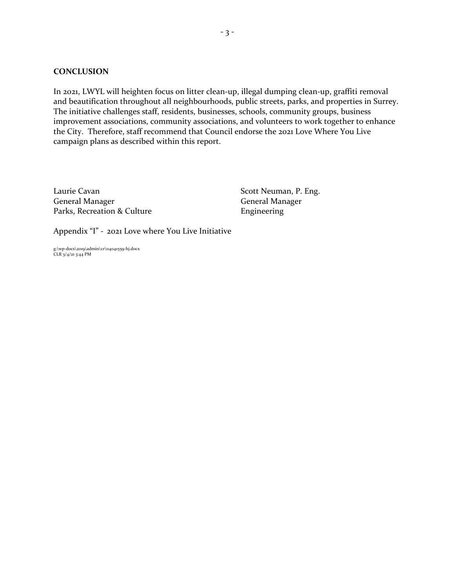#### **CONCLUSION**

In 2021, LWYL will heighten focus on litter clean-up, illegal dumping clean-up, graffiti removal and beautification throughout all neighbourhoods, public streets, parks, and properties in Surrey. The initiative challenges staff, residents, businesses, schools, community groups, business improvement associations, community associations, and volunteers to work together to enhance the City. Therefore, staff recommend that Council endorse the 2021 Love Where You Live campaign plans as described within this report.

Laurie Cavan Scott Neuman, P. Eng. General Manager General Manager Parks, Recreation & Culture Engineering

Appendix "I" - 2021 Love where You Live Initiative

g:\wp-docs\2019\admin\cr\04041559-hj.docx CLR 3/4/21 3:44 PM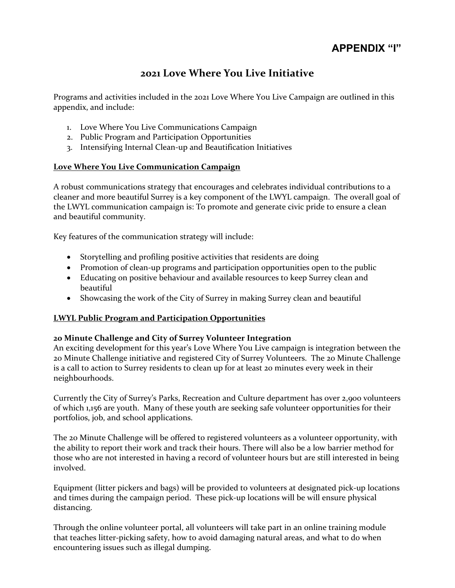# **APPENDIX "I"**

# **2021 Love Where You Live Initiative**

Programs and activities included in the 2021 Love Where You Live Campaign are outlined in this appendix, and include:

- 1. Love Where You Live Communications Campaign
- 2. Public Program and Participation Opportunities
- 3. Intensifying Internal Clean-up and Beautification Initiatives

# **Love Where You Live Communication Campaign**

A robust communications strategy that encourages and celebrates individual contributions to a cleaner and more beautiful Surrey is a key component of the LWYL campaign. The overall goal of the LWYL communication campaign is: To promote and generate civic pride to ensure a clean and beautiful community.

Key features of the communication strategy will include:

- Storytelling and profiling positive activities that residents are doing
- Promotion of clean-up programs and participation opportunities open to the public
- Educating on positive behaviour and available resources to keep Surrey clean and beautiful
- Showcasing the work of the City of Surrey in making Surrey clean and beautiful

# **LWYL Public Program and Participation Opportunities**

# **20 Minute Challenge and City of Surrey Volunteer Integration**

An exciting development for this year's Love Where You Live campaign is integration between the 20 Minute Challenge initiative and registered City of Surrey Volunteers. The 20 Minute Challenge is a call to action to Surrey residents to clean up for at least 20 minutes every week in their neighbourhoods.

Currently the City of Surrey's Parks, Recreation and Culture department has over 2,900 volunteers of which 1,156 are youth. Many of these youth are seeking safe volunteer opportunities for their portfolios, job, and school applications.

The 20 Minute Challenge will be offered to registered volunteers as a volunteer opportunity, with the ability to report their work and track their hours. There will also be a low barrier method for those who are not interested in having a record of volunteer hours but are still interested in being involved.

Equipment (litter pickers and bags) will be provided to volunteers at designated pick-up locations and times during the campaign period. These pick-up locations will be will ensure physical distancing.

Through the online volunteer portal, all volunteers will take part in an online training module that teaches litter-picking safety, how to avoid damaging natural areas, and what to do when encountering issues such as illegal dumping.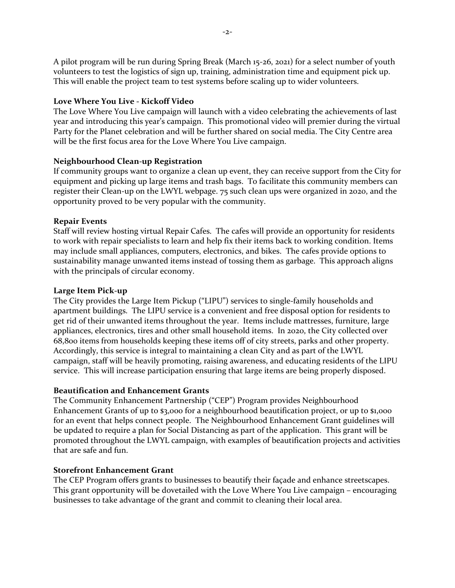A pilot program will be run during Spring Break (March 15-26, 2021) for a select number of youth volunteers to test the logistics of sign up, training, administration time and equipment pick up. This will enable the project team to test systems before scaling up to wider volunteers.

#### **Love Where You Live - Kickoff Video**

The Love Where You Live campaign will launch with a video celebrating the achievements of last year and introducing this year's campaign. This promotional video will premier during the virtual Party for the Planet celebration and will be further shared on social media. The City Centre area will be the first focus area for the Love Where You Live campaign.

#### **Neighbourhood Clean-up Registration**

If community groups want to organize a clean up event, they can receive support from the City for equipment and picking up large items and trash bags. To facilitate this community members can register their Clean-up on the LWYL webpage. 75 such clean ups were organized in 2020, and the opportunity proved to be very popular with the community.

#### **Repair Events**

Staff will review hosting virtual Repair Cafes. The cafes will provide an opportunity for residents to work with repair specialists to learn and help fix their items back to working condition. Items may include small appliances, computers, electronics, and bikes. The cafes provide options to sustainability manage unwanted items instead of tossing them as garbage. This approach aligns with the principals of circular economy.

#### **Large Item Pick-up**

The City provides the Large Item Pickup ("LIPU") services to single-family households and apartment buildings. The LIPU service is a convenient and free disposal option for residents to get rid of their unwanted items throughout the year. Items include mattresses, furniture, large appliances, electronics, tires and other small household items. In 2020, the City collected over 68,800 items from households keeping these items off of city streets, parks and other property. Accordingly, this service is integral to maintaining a clean City and as part of the LWYL campaign, staff will be heavily promoting, raising awareness, and educating residents of the LIPU service. This will increase participation ensuring that large items are being properly disposed.

#### **Beautification and Enhancement Grants**

The Community Enhancement Partnership ("CEP") Program provides Neighbourhood Enhancement Grants of up to \$3,000 for a neighbourhood beautification project, or up to \$1,000 for an event that helps connect people. The Neighbourhood Enhancement Grant guidelines will be updated to require a plan for Social Distancing as part of the application. This grant will be promoted throughout the LWYL campaign, with examples of beautification projects and activities that are safe and fun.

#### **Storefront Enhancement Grant**

The CEP Program offers grants to businesses to beautify their façade and enhance streetscapes. This grant opportunity will be dovetailed with the Love Where You Live campaign – encouraging businesses to take advantage of the grant and commit to cleaning their local area.